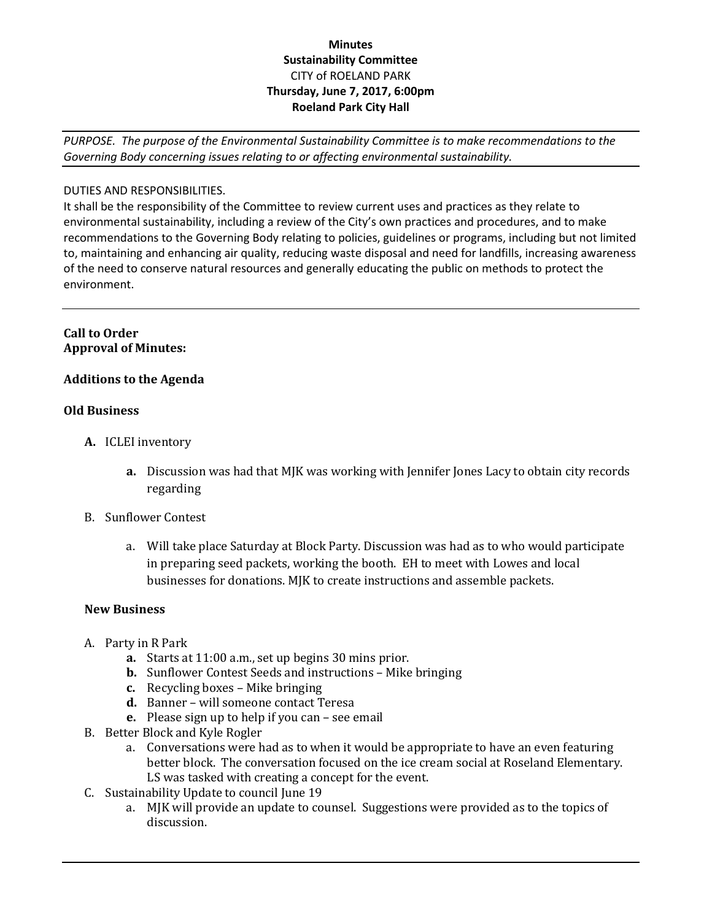# **Minutes Sustainability Committee** CITY of ROELAND PARK **Thursday, June 7, 2017, 6:00pm Roeland Park City Hall**

*PURPOSE. The purpose of the Environmental Sustainability Committee is to make recommendations to the Governing Body concerning issues relating to or affecting environmental sustainability.*

## DUTIES AND RESPONSIBILITIES.

It shall be the responsibility of the Committee to review current uses and practices as they relate to environmental sustainability, including a review of the City's own practices and procedures, and to make recommendations to the Governing Body relating to policies, guidelines or programs, including but not limited to, maintaining and enhancing air quality, reducing waste disposal and need for landfills, increasing awareness of the need to conserve natural resources and generally educating the public on methods to protect the environment.

## **Call to Order Approval of Minutes:**

## **Additions to the Agenda**

#### **Old Business**

- **A.** ICLEI inventory
	- **a.** Discussion was had that MJK was working with Jennifer Jones Lacy to obtain city records regarding
- B. Sunflower Contest
	- a. Will take place Saturday at Block Party. Discussion was had as to who would participate in preparing seed packets, working the booth. EH to meet with Lowes and local businesses for donations. MJK to create instructions and assemble packets.

#### **New Business**

- A. Party in R Park
	- **a.** Starts at 11:00 a.m., set up begins 30 mins prior.
	- **b.** Sunflower Contest Seeds and instructions Mike bringing
	- **c.** Recycling boxes Mike bringing
	- **d.** Banner will someone contact Teresa
	- **e.** Please sign up to help if you can see email
- B. Better Block and Kyle Rogler
	- a. Conversations were had as to when it would be appropriate to have an even featuring better block. The conversation focused on the ice cream social at Roseland Elementary. LS was tasked with creating a concept for the event.
- C. Sustainability Update to council June 19
	- a. MJK will provide an update to counsel. Suggestions were provided as to the topics of discussion.